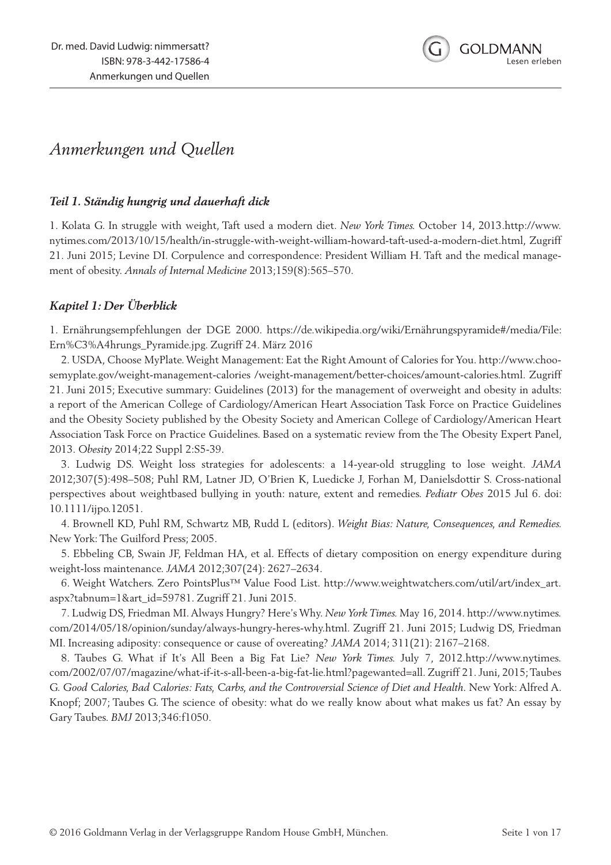

# *Anmerkungen und Quellen*

## *Teil 1. Ständig hungrig und dauerhaft dick*

1. Kolata G. In struggle with weight, Taft used a modern diet. *New York Times.* October 14, 2013.http://www. nytimes.com/2013/10/15/health/in-struggle-with-weight-william-howard-taft-used-a-modern-diet.html, Zugriff 21. Juni 2015; Levine DI. Corpulence and correspondence: President William H. Taft and the medical management of obesity. *Annals of Internal Medicine* 2013;159(8):565–570.

## *Kapitel 1: Der Überblick*

1. Ernährungsempfehlungen der DGE 2000. https://de.wikipedia.org/wiki/Ernährungspyramide#/media/File: Ern%C3%A4hrungs\_Pyramide.jpg. Zugriff 24. März 2016

2. USDA, Choose MyPlate. Weight Management: Eat the Right Amount of Calories for You. http://www.choosemyplate.gov/weight-management-calories /weight-management/better-choices/amount-calories.html. Zugriff 21. Juni 2015; Executive summary: Guidelines (2013) for the management of overweight and obesity in adults: a report of the American College of Cardiology/American Heart Association Task Force on Practice Guidelines and the Obesity Society published by the Obesity Society and American College of Cardiology/American Heart Association Task Force on Practice Guidelines. Based on a systematic review from the The Obesity Expert Panel, 2013. *Obesity* 2014;22 Suppl 2:S5-39.

3. Ludwig DS. Weight loss strategies for adolescents: a 14-year-old struggling to lose weight. *JAMA*  2012;307(5):498–508; Puhl RM, Latner JD, O'Brien K, Luedicke J, Forhan M, Danielsdottir S. Cross-national perspectives about weightbased bullying in youth: nature, extent and remedies. *Pediatr Obes* 2015 Jul 6. doi: 10.1111/ijpo.12051.

4. Brownell KD, Puhl RM, Schwartz MB, Rudd L (editors). *Weight Bias: Nature, Consequences, and Remedies.*  New York: The Guilford Press; 2005.

5. Ebbeling CB, Swain JF, Feldman HA, et al. Effects of dietary composition on energy expenditure during weight-loss maintenance. *JAMA* 2012;307(24): 2627–2634.

6. Weight Watchers. Zero PointsPlus™ Value Food List. http://www.weightwatchers.com/util/art/index\_art. aspx?tabnum=1&art\_id=59781. Zugriff 21. Juni 2015.

7. Ludwig DS, Friedman MI. Always Hungry? Here's Why. *New York Times.* May 16, 2014. http://www.nytimes. com/2014/05/18/opinion/sunday/always-hungry-heres-why.html. Zugriff 21. Juni 2015; Ludwig DS, Friedman MI. Increasing adiposity: consequence or cause of overeating? *JAMA* 2014; 311(21): 2167–2168.

8. Taubes G. What if It's All Been a Big Fat Lie? *New York Times.* July 7, 2012.http://www.nytimes. com/2002/07/07/magazine/what-if-it-s-all-been-a-big-fat-lie.html?pagewanted=all. Zugriff 21. Juni, 2015; Taubes G. *Good Calories, Bad Calories: Fats, Carbs, and the Controversial Science of Diet and Health.* New York: Alfred A. Knopf; 2007; Taubes G. The science of obesity: what do we really know about what makes us fat? An essay by Gary Taubes. *BMJ* 2013;346:f1050.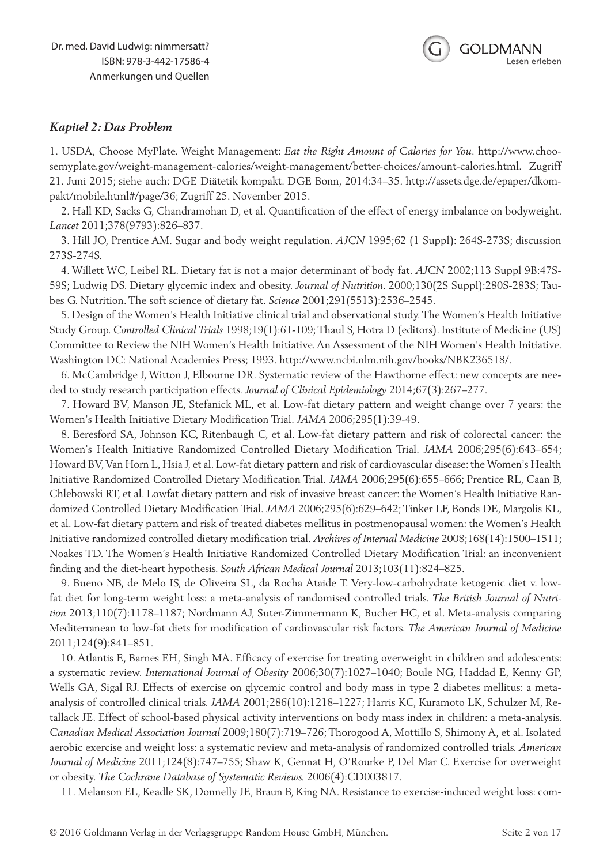## *Kapitel 2: Das Problem*

1. USDA, Choose MyPlate. Weight Management: *Eat the Right Amount of Calories for You*. http://www.choosemyplate.gov/weight-management-calories/weight-management/better-choices/amount-calories.html. Zugriff 21. Juni 2015; siehe auch: DGE Diätetik kompakt. DGE Bonn, 2014:34–35. http://assets.dge.de/epaper/dkompakt/mobile.html#/page/36; Zugriff 25. November 2015.

2. Hall KD, Sacks G, Chandramohan D, et al. Quantification of the effect of energy imbalance on bodyweight. *Lancet* 2011;378(9793):826–837.

3. Hill JO, Prentice AM. Sugar and body weight regulation. *AJCN* 1995;62 (1 Suppl): 264S-273S; discussion 273S-274S.

4. Willett WC, Leibel RL. Dietary fat is not a major determinant of body fat. *AJCN* 2002;113 Suppl 9B:47S-59S; Ludwig DS. Dietary glycemic index and obesity. *Journal of Nutrition.* 2000;130(2S Suppl):280S-283S; Taubes G. Nutrition. The soft science of dietary fat. *Science* 2001;291(5513):2536–2545.

5. Design of the Women's Health Initiative clinical trial and observational study. The Women's Health Initiative Study Group. *Controlled Clinical Trials* 1998;19(1):61-109; Thaul S, Hotra D (editors). Institute of Medicine (US) Committee to Review the NIH Women's Health Initiative. An Assessment of the NIH Women's Health Initiative. Washington DC: National Academies Press; 1993. http://www.ncbi.nlm.nih.gov/books/NBK236518/.

6. McCambridge J, Witton J, Elbourne DR. Systematic review of the Hawthorne effect: new concepts are needed to study research participation effects. *Journal of Clinical Epidemiology* 2014;67(3):267–277.

7. Howard BV, Manson JE, Stefanick ML, et al. Low-fat dietary pattern and weight change over 7 years: the Women's Health Initiative Dietary Modification Trial. *JAMA* 2006;295(1):39-49.

8. Beresford SA, Johnson KC, Ritenbaugh C, et al. Low-fat dietary pattern and risk of colorectal cancer: the Women's Health Initiative Randomized Controlled Dietary Modification Trial. *JAMA* 2006;295(6):643–654; Howard BV, Van Horn L, Hsia J, et al. Low-fat dietary pattern and risk of cardiovascular disease: the Women's Health Initiative Randomized Controlled Dietary Modification Trial. *JAMA* 2006;295(6):655–666; Prentice RL, Caan B, Chlebowski RT, et al. Lowfat dietary pattern and risk of invasive breast cancer: the Women's Health Initiative Randomized Controlled Dietary Modification Trial. *JAMA* 2006;295(6):629–642; Tinker LF, Bonds DE, Margolis KL, et al. Low-fat dietary pattern and risk of treated diabetes mellitus in postmenopausal women: the Women's Health Initiative randomized controlled dietary modification trial. *Archives of Internal Medicine* 2008;168(14):1500–1511; Noakes TD. The Women's Health Initiative Randomized Controlled Dietary Modification Trial: an inconvenient finding and the diet-heart hypothesis. *South African Medical Journal* 2013;103(11):824–825.

9. Bueno NB, de Melo IS, de Oliveira SL, da Rocha Ataide T. Very-low-carbohydrate ketogenic diet v. lowfat diet for long-term weight loss: a meta-analysis of randomised controlled trials. *The British Journal of Nutrition* 2013;110(7):1178–1187; Nordmann AJ, Suter-Zimmermann K, Bucher HC, et al. Meta-analysis comparing Mediterranean to low-fat diets for modification of cardiovascular risk factors. *The American Journal of Medicine*  2011;124(9):841–851.

10. Atlantis E, Barnes EH, Singh MA. Efficacy of exercise for treating overweight in children and adolescents: a systematic review. *International Journal of Obesity* 2006;30(7):1027–1040; Boule NG, Haddad E, Kenny GP, Wells GA, Sigal RJ. Effects of exercise on glycemic control and body mass in type 2 diabetes mellitus: a metaanalysis of controlled clinical trials. *JAMA* 2001;286(10):1218–1227; Harris KC, Kuramoto LK, Schulzer M, Retallack JE. Effect of school-based physical activity interventions on body mass index in children: a meta-analysis. *Canadian Medical Association Journal* 2009;180(7):719–726; Thorogood A, Mottillo S, Shimony A, et al. Isolated aerobic exercise and weight loss: a systematic review and meta-analysis of randomized controlled trials. *American Journal of Medicine* 2011;124(8):747–755; Shaw K, Gennat H, O'Rourke P, Del Mar C. Exercise for overweight or obesity. *The Cochrane Database of Systematic Reviews.* 2006(4):CD003817.

11. Melanson EL, Keadle SK, Donnelly JE, Braun B, King NA. Resistance to exercise-induced weight loss: com-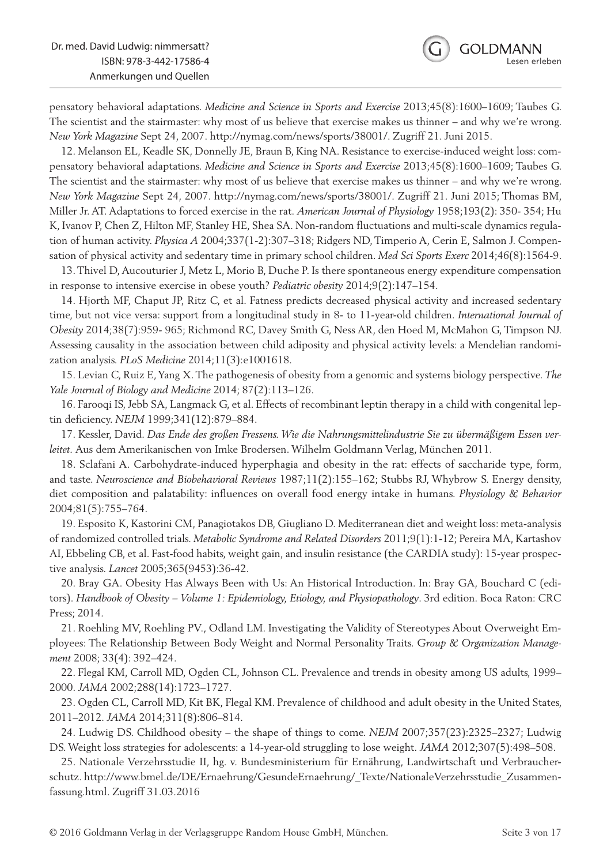pensatory behavioral adaptations. *Medicine and Science in Sports and Exercise* 2013;45(8):1600–1609; Taubes G. The scientist and the stairmaster: why most of us believe that exercise makes us thinner – and why we're wrong. *New York Magazine* Sept 24, 2007. http://nymag.com/news/sports/38001/. Zugriff 21. Juni 2015.

12. Melanson EL, Keadle SK, Donnelly JE, Braun B, King NA. Resistance to exercise-induced weight loss: compensatory behavioral adaptations. *Medicine and Science in Sports and Exercise* 2013;45(8):1600–1609; Taubes G. The scientist and the stairmaster: why most of us believe that exercise makes us thinner – and why we're wrong. *New York Magazine* Sept 24, 2007. http://nymag.com/news/sports/38001/. Zugriff 21. Juni 2015; Thomas BM, Miller Jr. AT. Adaptations to forced exercise in the rat. *American Journal of Physiology* 1958;193(2): 350- 354; Hu K, Ivanov P, Chen Z, Hilton MF, Stanley HE, Shea SA. Non-random fluctuations and multi-scale dynamics regulation of human activity. *Physica A* 2004;337(1-2):307–318; Ridgers ND, Timperio A, Cerin E, Salmon J. Compensation of physical activity and sedentary time in primary school children. *Med Sci Sports Exerc* 2014;46(8):1564-9.

13. Thivel D, Aucouturier J, Metz L, Morio B, Duche P. Is there spontaneous energy expenditure compensation in response to intensive exercise in obese youth? *Pediatric obesity* 2014;9(2):147–154.

14. Hjorth MF, Chaput JP, Ritz C, et al. Fatness predicts decreased physical activity and increased sedentary time, but not vice versa: support from a longitudinal study in 8- to 11-year-old children. *International Journal of Obesity* 2014;38(7):959- 965; Richmond RC, Davey Smith G, Ness AR, den Hoed M, McMahon G, Timpson NJ. Assessing causality in the association between child adiposity and physical activity levels: a Mendelian randomization analysis. *PLoS Medicine* 2014;11(3):e1001618.

15. Levian C, Ruiz E, Yang X. The pathogenesis of obesity from a genomic and systems biology perspective. *The Yale Journal of Biology and Medicine* 2014; 87(2):113–126.

16. Farooqi IS, Jebb SA, Langmack G, et al. Effects of recombinant leptin therapy in a child with congenital leptin deficiency. *NEJM* 1999;341(12):879–884.

17. Kessler, David. *Das Ende des großen Fressens. Wie die Nahrungsmittelindustrie Sie zu übermäßigem Essen verleitet.* Aus dem Amerikanischen von Imke Brodersen. Wilhelm Goldmann Verlag, München 2011.

18. Sclafani A. Carbohydrate-induced hyperphagia and obesity in the rat: effects of saccharide type, form, and taste. *Neuroscience and Biobehavioral Reviews* 1987;11(2):155–162; Stubbs RJ, Whybrow S. Energy density, diet composition and palatability: influences on overall food energy intake in humans. *Physiology & Behavior*  2004;81(5):755–764.

19. Esposito K, Kastorini CM, Panagiotakos DB, Giugliano D. Mediterranean diet and weight loss: meta-analysis of randomized controlled trials. *Metabolic Syndrome and Related Disorders* 2011;9(1):1-12; Pereira MA, Kartashov AI, Ebbeling CB, et al. Fast-food habits, weight gain, and insulin resistance (the CARDIA study): 15-year prospective analysis. *Lancet* 2005;365(9453):36-42.

20. Bray GA. Obesity Has Always Been with Us: An Historical Introduction. In: Bray GA, Bouchard C (editors). *Handbook of Obesity – Volume 1: Epidemiology, Etiology, and Physiopathology*. 3rd edition. Boca Raton: CRC Press; 2014.

21. Roehling MV, Roehling PV., Odland LM. Investigating the Validity of Stereotypes About Overweight Employees: The Relationship Between Body Weight and Normal Personality Traits. *Group & Organization Management* 2008; 33(4): 392–424.

22. Flegal KM, Carroll MD, Ogden CL, Johnson CL. Prevalence and trends in obesity among US adults, 1999– 2000. *JAMA* 2002;288(14):1723–1727.

23. Ogden CL, Carroll MD, Kit BK, Flegal KM. Prevalence of childhood and adult obesity in the United States, 2011–2012. *JAMA* 2014;311(8):806–814.

24. Ludwig DS. Childhood obesity – the shape of things to come. *NEJM* 2007;357(23):2325–2327; Ludwig DS. Weight loss strategies for adolescents: a 14-year-old struggling to lose weight. *JAMA* 2012;307(5):498–508.

25. Nationale Verzehrsstudie II, hg. v. Bundesministerium für Ernährung, Landwirtschaft und Verbraucherschutz. http://www.bmel.de/DE/Ernaehrung/GesundeErnaehrung/\_Texte/NationaleVerzehrsstudie\_Zusammenfassung.html. Zugriff 31.03.2016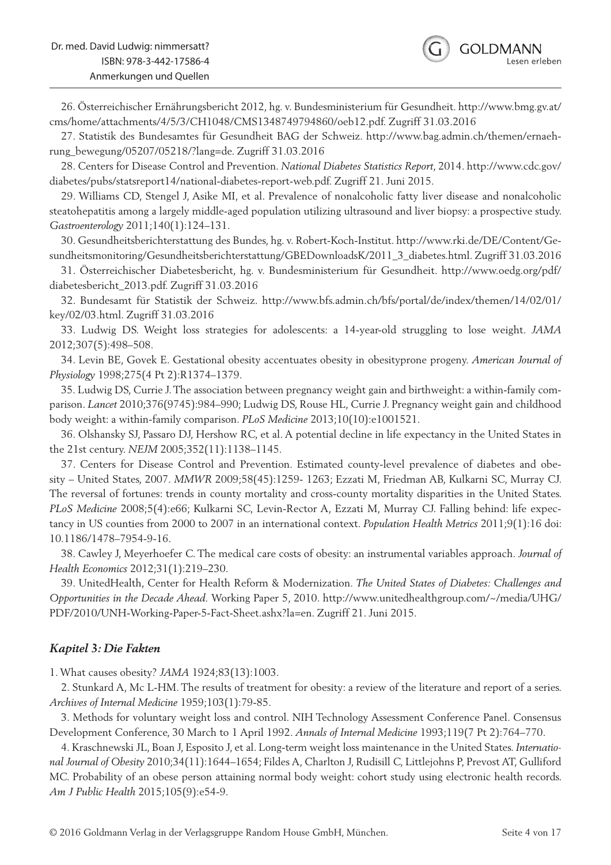26. Österreichischer Ernährungsbericht 2012, hg. v. Bundesministerium für Gesundheit. http://www.bmg.gv.at/ cms/home/attachments/4/5/3/CH1048/CMS1348749794860/oeb12.pdf. Zugriff 31.03.2016

27. Statistik des Bundesamtes für Gesundheit BAG der Schweiz. http://www.bag.admin.ch/themen/ernaehrung\_bewegung/05207/05218/?lang=de. Zugriff 31.03.2016

28. Centers for Disease Control and Prevention. *National Diabetes Statistics Report*, 2014. http://www.cdc.gov/ diabetes/pubs/statsreport14/national-diabetes-report-web.pdf. Zugriff 21. Juni 2015.

29. Williams CD, Stengel J, Asike MI, et al. Prevalence of nonalcoholic fatty liver disease and nonalcoholic steatohepatitis among a largely middle-aged population utilizing ultrasound and liver biopsy: a prospective study. *Gastroenterology* 2011;140(1):124–131.

30. Gesundheitsberichterstattung des Bundes, hg. v. Robert-Koch-Institut. http://www.rki.de/DE/Content/Gesundheitsmonitoring/Gesundheitsberichterstattung/GBEDownloadsK/2011\_3\_diabetes.html. Zugriff 31.03.2016

31. Österreichischer Diabetesbericht, hg. v. Bundesministerium für Gesundheit. http://www.oedg.org/pdf/ diabetesbericht\_2013.pdf. Zugriff 31.03.2016

32. Bundesamt für Statistik der Schweiz. http://www.bfs.admin.ch/bfs/portal/de/index/themen/14/02/01/ key/02/03.html. Zugriff 31.03.2016

33. Ludwig DS. Weight loss strategies for adolescents: a 14-year-old struggling to lose weight. *JAMA*  2012;307(5):498–508.

34. Levin BE, Govek E. Gestational obesity accentuates obesity in obesityprone progeny. *American Journal of Physiology* 1998;275(4 Pt 2):R1374–1379.

35. Ludwig DS, Currie J. The association between pregnancy weight gain and birthweight: a within-family comparison. *Lancet* 2010;376(9745):984–990; Ludwig DS, Rouse HL, Currie J. Pregnancy weight gain and childhood body weight: a within-family comparison. *PLoS Medicine* 2013;10(10):e1001521.

36. Olshansky SJ, Passaro DJ, Hershow RC, et al. A potential decline in life expectancy in the United States in the 21st century. *NEJM* 2005;352(11):1138–1145.

37. Centers for Disease Control and Prevention. Estimated county-level prevalence of diabetes and obesity – United States, 2007. *MMWR* 2009;58(45):1259- 1263; Ezzati M, Friedman AB, Kulkarni SC, Murray CJ. The reversal of fortunes: trends in county mortality and cross-county mortality disparities in the United States. *PLoS Medicine* 2008;5(4):e66; Kulkarni SC, Levin-Rector A, Ezzati M, Murray CJ. Falling behind: life expectancy in US counties from 2000 to 2007 in an international context. *Population Health Metrics* 2011;9(1):16 doi: 10.1186/1478–7954-9-16.

38. Cawley J, Meyerhoefer C. The medical care costs of obesity: an instrumental variables approach. *Journal of Health Economics* 2012;31(1):219–230.

39. UnitedHealth, Center for Health Reform & Modernization. *The United States of Diabetes: Challenges and Opportunities in the Decade Ahead.* Working Paper 5, 2010. http://www.unitedhealthgroup.com/~/media/UHG/ PDF/2010/UNH-Working-Paper-5-Fact-Sheet.ashx?la=en. Zugriff 21. Juni 2015.

#### *Kapitel 3: Die Fakten*

1. What causes obesity? *JAMA* 1924;83(13):1003.

2. Stunkard A, Mc L-HM. The results of treatment for obesity: a review of the literature and report of a series. *Archives of Internal Medicine* 1959;103(1):79-85.

3. Methods for voluntary weight loss and control. NIH Technology Assessment Conference Panel. Consensus Development Conference, 30 March to 1 April 1992. *Annals of Internal Medicine* 1993;119(7 Pt 2):764–770.

4. Kraschnewski JL, Boan J, Esposito J, et al. Long-term weight loss maintenance in the United States. *International Journal of Obesity* 2010;34(11):1644–1654; Fildes A, Charlton J, Rudisill C, Littlejohns P, Prevost AT, Gulliford MC. Probability of an obese person attaining normal body weight: cohort study using electronic health records. *Am J Public Health* 2015;105(9):e54-9.

**GOI DMANN** 

esen erleben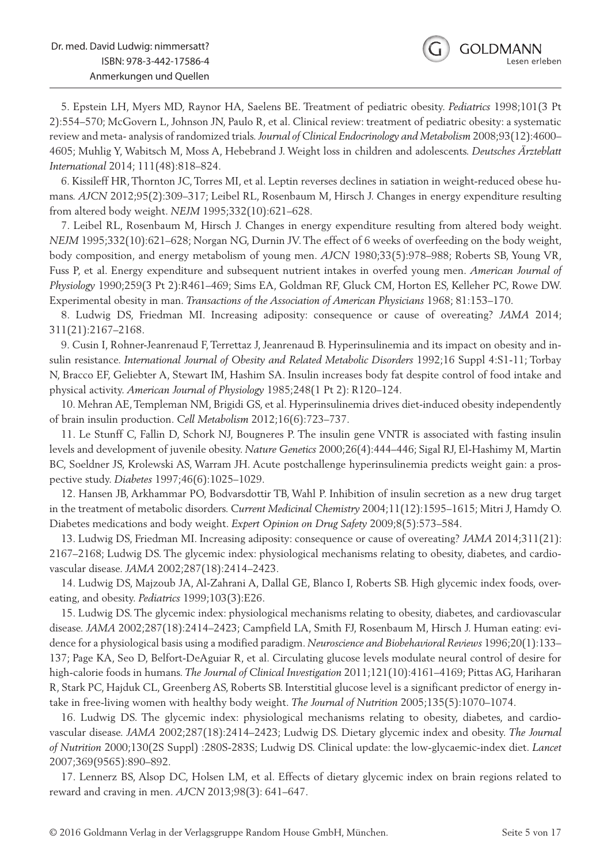6. Kissileff HR, Thornton JC, Torres MI, et al. Leptin reverses declines in satiation in weight-reduced obese humans. *AJCN* 2012;95(2):309–317; Leibel RL, Rosenbaum M, Hirsch J. Changes in energy expenditure resulting from altered body weight. *NEJM* 1995;332(10):621–628.

7. Leibel RL, Rosenbaum M, Hirsch J. Changes in energy expenditure resulting from altered body weight. *NEJM* 1995;332(10):621–628; Norgan NG, Durnin JV. The effect of 6 weeks of overfeeding on the body weight, body composition, and energy metabolism of young men. *AJCN* 1980;33(5):978–988; Roberts SB, Young VR, Fuss P, et al. Energy expenditure and subsequent nutrient intakes in overfed young men. *American Journal of Physiology* 1990;259(3 Pt 2):R461–469; Sims EA, Goldman RF, Gluck CM, Horton ES, Kelleher PC, Rowe DW. Experimental obesity in man. *Transactions of the Association of American Physicians* 1968; 81:153–170.

8. Ludwig DS, Friedman MI. Increasing adiposity: consequence or cause of overeating? *JAMA* 2014; 311(21):2167–2168.

9. Cusin I, Rohner-Jeanrenaud F, Terrettaz J, Jeanrenaud B. Hyperinsulinemia and its impact on obesity and insulin resistance. *International Journal of Obesity and Related Metabolic Disorders* 1992;16 Suppl 4:S1-11; Torbay N, Bracco EF, Geliebter A, Stewart IM, Hashim SA. Insulin increases body fat despite control of food intake and physical activity. *American Journal of Physiology* 1985;248(1 Pt 2): R120–124.

10. Mehran AE, Templeman NM, Brigidi GS, et al. Hyperinsulinemia drives diet-induced obesity independently of brain insulin production. *Cell Metabolism* 2012;16(6):723–737.

11. Le Stunff C, Fallin D, Schork NJ, Bougneres P. The insulin gene VNTR is associated with fasting insulin levels and development of juvenile obesity. *Nature Genetics* 2000;26(4):444–446; Sigal RJ, El-Hashimy M, Martin BC, Soeldner JS, Krolewski AS, Warram JH. Acute postchallenge hyperinsulinemia predicts weight gain: a prospective study. *Diabetes* 1997;46(6):1025–1029.

12. Hansen JB, Arkhammar PO, Bodvarsdottir TB, Wahl P. Inhibition of insulin secretion as a new drug target in the treatment of metabolic disorders. *Current Medicinal Chemistry* 2004;11(12):1595–1615; Mitri J, Hamdy O. Diabetes medications and body weight. *Expert Opinion on Drug Safety* 2009;8(5):573–584.

13. Ludwig DS, Friedman MI. Increasing adiposity: consequence or cause of overeating? *JAMA* 2014;311(21): 2167–2168; Ludwig DS. The glycemic index: physiological mechanisms relating to obesity, diabetes, and cardiovascular disease. *JAMA* 2002;287(18):2414–2423.

14. Ludwig DS, Majzoub JA, Al-Zahrani A, Dallal GE, Blanco I, Roberts SB. High glycemic index foods, overeating, and obesity. *Pediatrics* 1999;103(3):E26.

15. Ludwig DS. The glycemic index: physiological mechanisms relating to obesity, diabetes, and cardiovascular disease. *JAMA* 2002;287(18):2414–2423; Campfield LA, Smith FJ, Rosenbaum M, Hirsch J. Human eating: evidence for a physiological basis using a modified paradigm. *Neuroscience and Biobehavioral Reviews* 1996;20(1):133– 137; Page KA, Seo D, Belfort-DeAguiar R, et al. Circulating glucose levels modulate neural control of desire for high-calorie foods in humans. *The Journal of Clinical Investigation* 2011;121(10):4161–4169; Pittas AG, Hariharan R, Stark PC, Hajduk CL, Greenberg AS, Roberts SB. Interstitial glucose level is a significant predictor of energy intake in free-living women with healthy body weight. *The Journal of Nutrition* 2005;135(5):1070–1074.

16. Ludwig DS. The glycemic index: physiological mechanisms relating to obesity, diabetes, and cardiovascular disease. *JAMA* 2002;287(18):2414–2423; Ludwig DS. Dietary glycemic index and obesity. *The Journal of Nutrition* 2000;130(2S Suppl) :280S-283S; Ludwig DS. Clinical update: the low-glycaemic-index diet. *Lancet*  2007;369(9565):890–892.

17. Lennerz BS, Alsop DC, Holsen LM, et al. Effects of dietary glycemic index on brain regions related to reward and craving in men. *AJCN* 2013;98(3): 641–647.

**GOLDMANN** 

esen erleben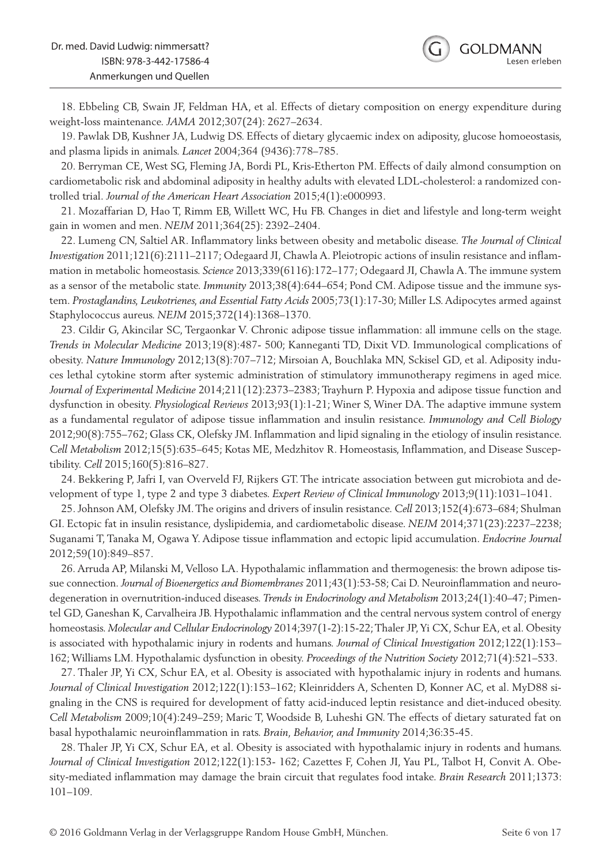18. Ebbeling CB, Swain JF, Feldman HA, et al. Effects of dietary composition on energy expenditure during weight-loss maintenance. *JAMA* 2012;307(24): 2627–2634.

19. Pawlak DB, Kushner JA, Ludwig DS. Effects of dietary glycaemic index on adiposity, glucose homoeostasis, and plasma lipids in animals. *Lancet* 2004;364 (9436):778–785.

20. Berryman CE, West SG, Fleming JA, Bordi PL, Kris-Etherton PM. Effects of daily almond consumption on cardiometabolic risk and abdominal adiposity in healthy adults with elevated LDL-cholesterol: a randomized controlled trial. *Journal of the American Heart Association* 2015;4(1):e000993.

21. Mozaffarian D, Hao T, Rimm EB, Willett WC, Hu FB. Changes in diet and lifestyle and long-term weight gain in women and men. *NEJM* 2011;364(25): 2392–2404.

22. Lumeng CN, Saltiel AR. Inflammatory links between obesity and metabolic disease. *The Journal of Clinical Investigation* 2011;121(6):2111–2117; Odegaard JI, Chawla A. Pleiotropic actions of insulin resistance and inflammation in metabolic homeostasis. *Science* 2013;339(6116):172–177; Odegaard JI, Chawla A. The immune system as a sensor of the metabolic state. *Immunity* 2013;38(4):644–654; Pond CM. Adipose tissue and the immune system. *Prostaglandins, Leukotrienes, and Essential Fatty Acids* 2005;73(1):17-30; Miller LS. Adipocytes armed against Staphylococcus aureus. *NEJM* 2015;372(14):1368–1370.

23. Cildir G, Akincilar SC, Tergaonkar V. Chronic adipose tissue inflammation: all immune cells on the stage. *Trends in Molecular Medicine* 2013;19(8):487- 500; Kanneganti TD, Dixit VD. Immunological complications of obesity. *Nature Immunology* 2012;13(8):707–712; Mirsoian A, Bouchlaka MN, Sckisel GD, et al. Adiposity induces lethal cytokine storm after systemic administration of stimulatory immunotherapy regimens in aged mice. *Journal of Experimental Medicine* 2014;211(12):2373–2383; Trayhurn P. Hypoxia and adipose tissue function and dysfunction in obesity. *Physiological Reviews* 2013;93(1):1-21; Winer S, Winer DA. The adaptive immune system as a fundamental regulator of adipose tissue inflammation and insulin resistance. *Immunology and Cell Biology*  2012;90(8):755–762; Glass CK, Olefsky JM. Inflammation and lipid signaling in the etiology of insulin resistance. *Cell Metabolism* 2012;15(5):635–645; Kotas ME, Medzhitov R. Homeostasis, Inflammation, and Disease Susceptibility. *Cell* 2015;160(5):816–827.

24. Bekkering P, Jafri I, van Overveld FJ, Rijkers GT. The intricate association between gut microbiota and development of type 1, type 2 and type 3 diabetes. *Expert Review of Clinical Immunology* 2013;9(11):1031–1041.

25. Johnson AM, Olefsky JM. The origins and drivers of insulin resistance. *Cell* 2013;152(4):673–684; Shulman GI. Ectopic fat in insulin resistance, dyslipidemia, and cardiometabolic disease. *NEJM* 2014;371(23):2237–2238; Suganami T, Tanaka M, Ogawa Y. Adipose tissue inflammation and ectopic lipid accumulation. *Endocrine Journal*  2012;59(10):849–857.

26. Arruda AP, Milanski M, Velloso LA. Hypothalamic inflammation and thermogenesis: the brown adipose tissue connection. *Journal of Bioenergetics and Biomembranes* 2011;43(1):53-58; Cai D. Neuroinflammation and neurodegeneration in overnutrition-induced diseases. *Trends in Endocrinology and Metabolism* 2013;24(1):40–47; Pimentel GD, Ganeshan K, Carvalheira JB. Hypothalamic inflammation and the central nervous system control of energy homeostasis. *Molecular and Cellular Endocrinology* 2014;397(1-2):15-22; Thaler JP, Yi CX, Schur EA, et al. Obesity is associated with hypothalamic injury in rodents and humans. *Journal of Clinical Investigation* 2012;122(1):153– 162; Williams LM. Hypothalamic dysfunction in obesity. *Proceedings of the Nutrition Society* 2012;71(4):521–533.

27. Thaler JP, Yi CX, Schur EA, et al. Obesity is associated with hypothalamic injury in rodents and humans. *Journal of Clinical Investigation* 2012;122(1):153–162; Kleinridders A, Schenten D, Konner AC, et al. MyD88 signaling in the CNS is required for development of fatty acid-induced leptin resistance and diet-induced obesity. *Cell Metabolism* 2009;10(4):249–259; Maric T, Woodside B, Luheshi GN. The effects of dietary saturated fat on basal hypothalamic neuroinflammation in rats. *Brain, Behavior, and Immunity* 2014;36:35-45.

28. Thaler JP, Yi CX, Schur EA, et al. Obesity is associated with hypothalamic injury in rodents and humans. *Journal of Clinical Investigation* 2012;122(1):153- 162; Cazettes F, Cohen JI, Yau PL, Talbot H, Convit A. Obesity-mediated inflammation may damage the brain circuit that regulates food intake. *Brain Research* 2011;1373: 101–109.

**GOLDMANN** 

esen erleben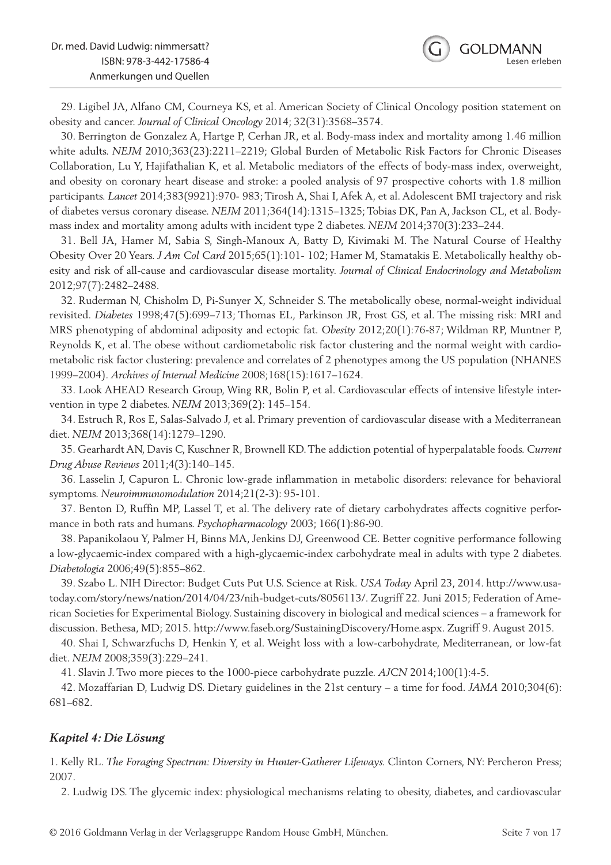29. Ligibel JA, Alfano CM, Courneya KS, et al. American Society of Clinical Oncology position statement on obesity and cancer. *Journal of Clinical Oncology* 2014; 32(31):3568–3574.

30. Berrington de Gonzalez A, Hartge P, Cerhan JR, et al. Body-mass index and mortality among 1.46 million white adults. *NEJM* 2010;363(23):2211–2219; Global Burden of Metabolic Risk Factors for Chronic Diseases Collaboration, Lu Y, Hajifathalian K, et al. Metabolic mediators of the effects of body-mass index, overweight, and obesity on coronary heart disease and stroke: a pooled analysis of 97 prospective cohorts with 1.8 million participants. *Lancet* 2014;383(9921):970- 983; Tirosh A, Shai I, Afek A, et al. Adolescent BMI trajectory and risk of diabetes versus coronary disease. *NEJM* 2011;364(14):1315–1325; Tobias DK, Pan A, Jackson CL, et al. Bodymass index and mortality among adults with incident type 2 diabetes. *NEJM* 2014;370(3):233–244.

31. Bell JA, Hamer M, Sabia S, Singh-Manoux A, Batty D, Kivimaki M. The Natural Course of Healthy Obesity Over 20 Years. *J Am Col Card* 2015;65(1):101- 102; Hamer M, Stamatakis E. Metabolically healthy obesity and risk of all-cause and cardiovascular disease mortality. *Journal of Clinical Endocrinology and Metabolism*  2012;97(7):2482–2488.

32. Ruderman N, Chisholm D, Pi-Sunyer X, Schneider S. The metabolically obese, normal-weight individual revisited. *Diabetes* 1998;47(5):699–713; Thomas EL, Parkinson JR, Frost GS, et al. The missing risk: MRI and MRS phenotyping of abdominal adiposity and ectopic fat. *Obesity* 2012;20(1):76-87; Wildman RP, Muntner P, Reynolds K, et al. The obese without cardiometabolic risk factor clustering and the normal weight with cardiometabolic risk factor clustering: prevalence and correlates of 2 phenotypes among the US population (NHANES 1999–2004). *Archives of Internal Medicine* 2008;168(15):1617–1624.

33. Look AHEAD Research Group, Wing RR, Bolin P, et al. Cardiovascular effects of intensive lifestyle intervention in type 2 diabetes. *NEJM* 2013;369(2): 145–154.

34. Estruch R, Ros E, Salas-Salvado J, et al. Primary prevention of cardiovascular disease with a Mediterranean diet. *NEJM* 2013;368(14):1279–1290.

35. Gearhardt AN, Davis C, Kuschner R, Brownell KD. The addiction potential of hyperpalatable foods. *Current Drug Abuse Reviews* 2011;4(3):140–145.

36. Lasselin J, Capuron L. Chronic low-grade inflammation in metabolic disorders: relevance for behavioral symptoms. *Neuroimmunomodulation* 2014;21(2-3): 95-101.

37. Benton D, Ruffin MP, Lassel T, et al. The delivery rate of dietary carbohydrates affects cognitive performance in both rats and humans. *Psychopharmacology* 2003; 166(1):86-90.

38. Papanikolaou Y, Palmer H, Binns MA, Jenkins DJ, Greenwood CE. Better cognitive performance following a low-glycaemic-index compared with a high-glycaemic-index carbohydrate meal in adults with type 2 diabetes. *Diabetologia* 2006;49(5):855–862.

39. Szabo L. NIH Director: Budget Cuts Put U.S. Science at Risk. *USA Today* April 23, 2014. http://www.usatoday.com/story/news/nation/2014/04/23/nih-budget-cuts/8056113/. Zugriff 22. Juni 2015; Federation of American Societies for Experimental Biology. Sustaining discovery in biological and medical sciences – a framework for discussion. Bethesa, MD; 2015. http://www.faseb.org/SustainingDiscovery/Home.aspx. Zugriff 9. August 2015.

40. Shai I, Schwarzfuchs D, Henkin Y, et al. Weight loss with a low-carbohydrate, Mediterranean, or low-fat diet. *NEJM* 2008;359(3):229–241.

41. Slavin J. Two more pieces to the 1000-piece carbohydrate puzzle. *AJCN* 2014;100(1):4-5.

42. Mozaffarian D, Ludwig DS. Dietary guidelines in the 21st century – a time for food. *JAMA* 2010;304(6): 681–682.

#### *Kapitel 4: Die Lösung*

1. Kelly RL. *The Foraging Spectrum: Diversity in Hunter-Gatherer Lifeways.* Clinton Corners, NY: Percheron Press; 2007.

2. Ludwig DS. The glycemic index: physiological mechanisms relating to obesity, diabetes, and cardiovascular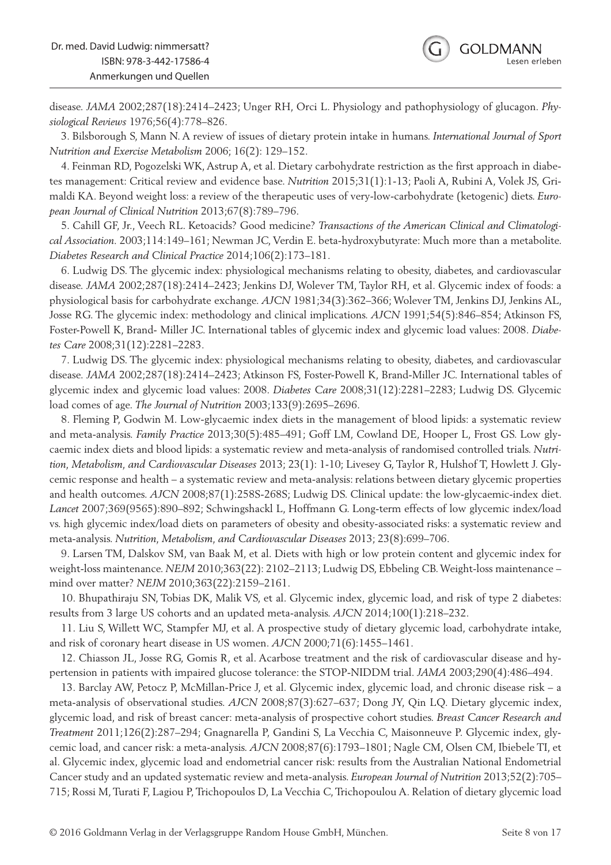disease. *JAMA* 2002;287(18):2414–2423; Unger RH, Orci L. Physiology and pathophysiology of glucagon. *Physiological Reviews* 1976;56(4):778–826.

3. Bilsborough S, Mann N. A review of issues of dietary protein intake in humans. *International Journal of Sport Nutrition and Exercise Metabolism* 2006; 16(2): 129–152.

4. Feinman RD, Pogozelski WK, Astrup A, et al. Dietary carbohydrate restriction as the first approach in diabetes management: Critical review and evidence base. *Nutrition* 2015;31(1):1-13; Paoli A, Rubini A, Volek JS, Grimaldi KA. Beyond weight loss: a review of the therapeutic uses of very-low-carbohydrate (ketogenic) diets. *European Journal of Clinical Nutrition* 2013;67(8):789–796.

5. Cahill GF, Jr., Veech RL. Ketoacids? Good medicine? *Transactions of the American Clinical and Climatological Association.* 2003;114:149–161; Newman JC, Verdin E. beta-hydroxybutyrate: Much more than a metabolite. *Diabetes Research and Clinical Practice* 2014;106(2):173–181.

6. Ludwig DS. The glycemic index: physiological mechanisms relating to obesity, diabetes, and cardiovascular disease. *JAMA* 2002;287(18):2414–2423; Jenkins DJ, Wolever TM, Taylor RH, et al. Glycemic index of foods: a physiological basis for carbohydrate exchange. *AJCN* 1981;34(3):362–366; Wolever TM, Jenkins DJ, Jenkins AL, Josse RG. The glycemic index: methodology and clinical implications. *AJCN* 1991;54(5):846–854; Atkinson FS, Foster-Powell K, Brand- Miller JC. International tables of glycemic index and glycemic load values: 2008. *Diabetes Care* 2008;31(12):2281–2283.

7. Ludwig DS. The glycemic index: physiological mechanisms relating to obesity, diabetes, and cardiovascular disease. *JAMA* 2002;287(18):2414–2423; Atkinson FS, Foster-Powell K, Brand-Miller JC. International tables of glycemic index and glycemic load values: 2008. *Diabetes Care* 2008;31(12):2281–2283; Ludwig DS. Glycemic load comes of age. *The Journal of Nutrition* 2003;133(9):2695–2696.

8. Fleming P, Godwin M. Low-glycaemic index diets in the management of blood lipids: a systematic review and meta-analysis. *Family Practice* 2013;30(5):485–491; Goff LM, Cowland DE, Hooper L, Frost GS. Low glycaemic index diets and blood lipids: a systematic review and meta-analysis of randomised controlled trials. *Nutrition, Metabolism, and Cardiovascular Diseases* 2013; 23(1): 1-10; Livesey G, Taylor R, Hulshof T, Howlett J. Glycemic response and health – a systematic review and meta-analysis: relations between dietary glycemic properties and health outcomes. *AJCN* 2008;87(1):258S-268S; Ludwig DS. Clinical update: the low-glycaemic-index diet. *Lancet* 2007;369(9565):890–892; Schwingshackl L, Hoffmann G. Long-term effects of low glycemic index/load vs. high glycemic index/load diets on parameters of obesity and obesity-associated risks: a systematic review and meta-analysis. *Nutrition, Metabolism, and Cardiovascular Diseases* 2013; 23(8):699–706.

9. Larsen TM, Dalskov SM, van Baak M, et al. Diets with high or low protein content and glycemic index for weight-loss maintenance. *NEJM* 2010;363(22): 2102–2113; Ludwig DS, Ebbeling CB. Weight-loss maintenance – mind over matter? *NEJM* 2010;363(22):2159–2161.

10. Bhupathiraju SN, Tobias DK, Malik VS, et al. Glycemic index, glycemic load, and risk of type 2 diabetes: results from 3 large US cohorts and an updated meta-analysis. *AJCN* 2014;100(1):218–232.

11. Liu S, Willett WC, Stampfer MJ, et al. A prospective study of dietary glycemic load, carbohydrate intake, and risk of coronary heart disease in US women. *AJCN* 2000;71(6):1455–1461.

12. Chiasson JL, Josse RG, Gomis R, et al. Acarbose treatment and the risk of cardiovascular disease and hypertension in patients with impaired glucose tolerance: the STOP-NIDDM trial. *JAMA* 2003;290(4):486–494.

13. Barclay AW, Petocz P, McMillan-Price J, et al. Glycemic index, glycemic load, and chronic disease risk – a meta-analysis of observational studies. *AJCN* 2008;87(3):627–637; Dong JY, Qin LQ. Dietary glycemic index, glycemic load, and risk of breast cancer: meta-analysis of prospective cohort studies. *Breast Cancer Research and Treatment* 2011;126(2):287–294; Gnagnarella P, Gandini S, La Vecchia C, Maisonneuve P. Glycemic index, glycemic load, and cancer risk: a meta-analysis. *AJCN* 2008;87(6):1793–1801; Nagle CM, Olsen CM, Ibiebele TI, et al. Glycemic index, glycemic load and endometrial cancer risk: results from the Australian National Endometrial Cancer study and an updated systematic review and meta-analysis. *European Journal of Nutrition* 2013;52(2):705– 715; Rossi M, Turati F, Lagiou P, Trichopoulos D, La Vecchia C, Trichopoulou A. Relation of dietary glycemic load

**GOLDMANN** 

Lesen erleben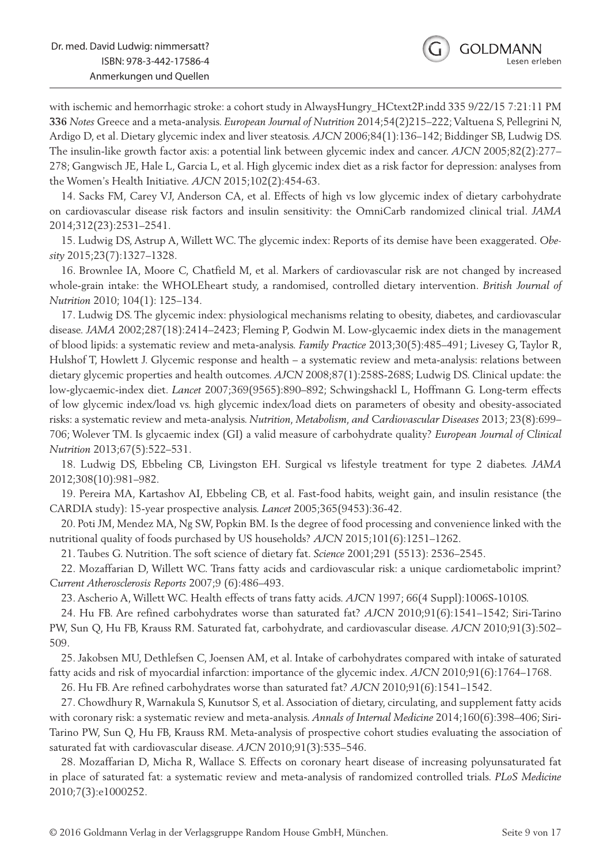**GOLDMANN** 

with ischemic and hemorrhagic stroke: a cohort study in AlwaysHungry\_HCtext2P.indd 335 9/22/15 7:21:11 PM **336** *Notes* Greece and a meta-analysis. *European Journal of Nutrition* 2014;54(2)215–222; Valtuena S, Pellegrini N, Ardigo D, et al. Dietary glycemic index and liver steatosis. *AJCN* 2006;84(1):136–142; Biddinger SB, Ludwig DS. The insulin-like growth factor axis: a potential link between glycemic index and cancer. *AJCN* 2005;82(2):277– 278; Gangwisch JE, Hale L, Garcia L, et al. High glycemic index diet as a risk factor for depression: analyses from the Women's Health Initiative. *AJCN* 2015;102(2):454-63.

14. Sacks FM, Carey VJ, Anderson CA, et al. Effects of high vs low glycemic index of dietary carbohydrate on cardiovascular disease risk factors and insulin sensitivity: the OmniCarb randomized clinical trial. *JAMA*  2014;312(23):2531–2541.

15. Ludwig DS, Astrup A, Willett WC. The glycemic index: Reports of its demise have been exaggerated. *Obesity* 2015;23(7):1327–1328.

16. Brownlee IA, Moore C, Chatfield M, et al. Markers of cardiovascular risk are not changed by increased whole-grain intake: the WHOLEheart study, a randomised, controlled dietary intervention. *British Journal of Nutrition* 2010; 104(1): 125–134.

17. Ludwig DS. The glycemic index: physiological mechanisms relating to obesity, diabetes, and cardiovascular disease. *JAMA* 2002;287(18):2414–2423; Fleming P, Godwin M. Low-glycaemic index diets in the management of blood lipids: a systematic review and meta-analysis. *Family Practice* 2013;30(5):485–491; Livesey G, Taylor R, Hulshof T, Howlett J. Glycemic response and health – a systematic review and meta-analysis: relations between dietary glycemic properties and health outcomes. *AJCN* 2008;87(1):258S-268S; Ludwig DS. Clinical update: the low-glycaemic-index diet. *Lancet* 2007;369(9565):890–892; Schwingshackl L, Hoffmann G. Long-term effects of low glycemic index/load vs. high glycemic index/load diets on parameters of obesity and obesity-associated risks: a systematic review and meta-analysis. *Nutrition, Metabolism, and Cardiovascular Diseases* 2013; 23(8):699– 706; Wolever TM. Is glycaemic index (GI) a valid measure of carbohydrate quality? *European Journal of Clinical Nutrition* 2013;67(5):522–531.

18. Ludwig DS, Ebbeling CB, Livingston EH. Surgical vs lifestyle treatment for type 2 diabetes. *JAMA*  2012;308(10):981–982.

19. Pereira MA, Kartashov AI, Ebbeling CB, et al. Fast-food habits, weight gain, and insulin resistance (the CARDIA study): 15-year prospective analysis. *Lancet* 2005;365(9453):36-42.

20. Poti JM, Mendez MA, Ng SW, Popkin BM. Is the degree of food processing and convenience linked with the nutritional quality of foods purchased by US households? *AJCN* 2015;101(6):1251–1262.

21. Taubes G. Nutrition. The soft science of dietary fat. *Science* 2001;291 (5513): 2536–2545.

22. Mozaffarian D, Willett WC. Trans fatty acids and cardiovascular risk: a unique cardiometabolic imprint? *Current Atherosclerosis Reports* 2007;9 (6):486–493.

23. Ascherio A, Willett WC. Health effects of trans fatty acids. *AJCN* 1997; 66(4 Suppl):1006S-1010S.

24. Hu FB. Are refined carbohydrates worse than saturated fat? *AJCN* 2010;91(6):1541–1542; Siri-Tarino PW, Sun Q, Hu FB, Krauss RM. Saturated fat, carbohydrate, and cardiovascular disease. *AJCN* 2010;91(3):502– 509.

25. Jakobsen MU, Dethlefsen C, Joensen AM, et al. Intake of carbohydrates compared with intake of saturated fatty acids and risk of myocardial infarction: importance of the glycemic index. *AJCN* 2010;91(6):1764–1768.

26. Hu FB. Are refined carbohydrates worse than saturated fat? *AJCN* 2010;91(6):1541–1542.

27. Chowdhury R, Warnakula S, Kunutsor S, et al. Association of dietary, circulating, and supplement fatty acids with coronary risk: a systematic review and meta-analysis. *Annals of Internal Medicine* 2014;160(6):398–406; Siri-Tarino PW, Sun Q, Hu FB, Krauss RM. Meta-analysis of prospective cohort studies evaluating the association of saturated fat with cardiovascular disease. *AJCN* 2010;91(3):535–546.

28. Mozaffarian D, Micha R, Wallace S. Effects on coronary heart disease of increasing polyunsaturated fat in place of saturated fat: a systematic review and meta-analysis of randomized controlled trials. *PLoS Medicine*  2010;7(3):e1000252.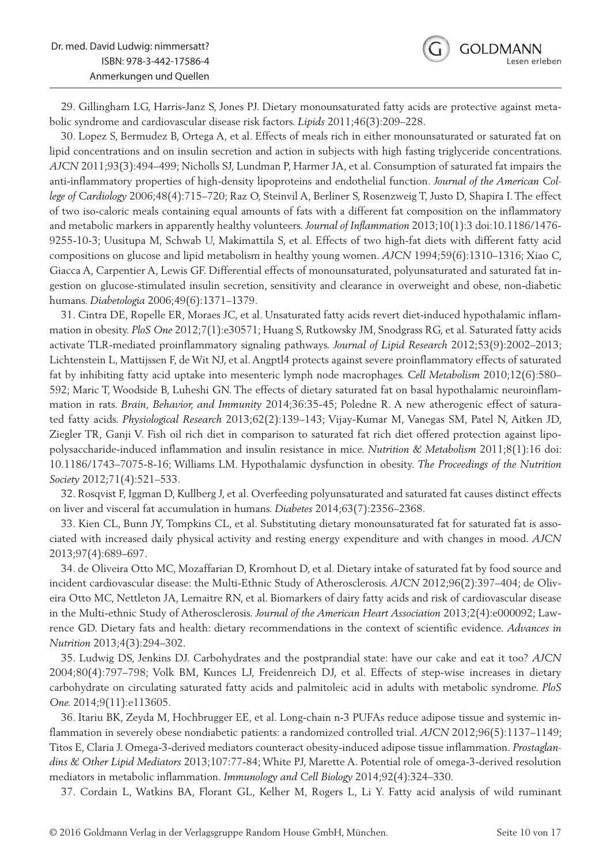29. Gillingham LG, Harris-Janz S, Jones PJ. Dietary monounsaturated fatty acids are protective against metabolic syndrome and cardiovascular disease risk factors. *Lipids* 2011;46(3):209–228.

30. Lopez S, Bermudez B, Ortega A, et al. Effects of meals rich in either monounsaturated or saturated fat on lipid concentrations and on insulin secretion and action in subjects with high fasting triglyceride concentrations. *AJCN* 2011;93(3):494–499; Nicholls SJ, Lundman P, Harmer JA, et al. Consumption of saturated fat impairs the anti-inflammatory properties of high-density lipoproteins and endothelial function. *Journal of the American College of Cardiology* 2006;48(4):715–720; Raz O, Steinvil A, Berliner S, Rosenzweig T, Justo D, Shapira I. The effect of two iso-caloric meals containing equal amounts of fats with a different fat composition on the inflammatory and metabolic markers in apparently healthy volunteers. *Journal of Inflammation* 2013;10(1):3 doi:10.1186/1476- 9255-10-3; Uusitupa M, Schwab U, Makimattila S, et al. Effects of two high-fat diets with different fatty acid compositions on glucose and lipid metabolism in healthy young women. *AJCN* 1994;59(6):1310–1316; Xiao C, Giacca A, Carpentier A, Lewis GF. Differential effects of monounsaturated, polyunsaturated and saturated fat ingestion on glucose-stimulated insulin secretion, sensitivity and clearance in overweight and obese, non-diabetic humans. *Diabetologia* 2006;49(6):1371–1379.

31. Cintra DE, Ropelle ER, Moraes JC, et al. Unsaturated fatty acids revert diet-induced hypothalamic inflammation in obesity. *PloS One* 2012;7(1):e30571; Huang S, Rutkowsky JM, Snodgrass RG, et al. Saturated fatty acids activate TLR-mediated proinflammatory signaling pathways. *Journal of Lipid Research* 2012;53(9):2002–2013; Lichtenstein L, Mattijssen F, de Wit NJ, et al. Angptl4 protects against severe proinflammatory effects of saturated fat by inhibiting fatty acid uptake into mesenteric lymph node macrophages. *Cell Metabolism* 2010;12(6):580– 592; Maric T, Woodside B, Luheshi GN. The effects of dietary saturated fat on basal hypothalamic neuroinflammation in rats. *Brain, Behavior, and Immunity* 2014;36:35-45; Poledne R. A new atherogenic effect of saturated fatty acids. *Physiological Research* 2013;62(2):139–143; Vijay-Kumar M, Vanegas SM, Patel N, Aitken JD, Ziegler TR, Ganji V. Fish oil rich diet in comparison to saturated fat rich diet offered protection against lipopolysaccharide-induced inflammation and insulin resistance in mice. *Nutrition & Metabolism* 2011;8(1):16 doi: 10.1186/1743–7075-8-16; Williams LM. Hypothalamic dysfunction in obesity. *The Proceedings of the Nutrition Society* 2012;71(4):521–533.

32. Rosqvist F, Iggman D, Kullberg J, et al. Overfeeding polyunsaturated and saturated fat causes distinct effects on liver and visceral fat accumulation in humans. *Diabetes* 2014;63(7):2356–2368.

33. Kien CL, Bunn JY, Tompkins CL, et al. Substituting dietary monounsaturated fat for saturated fat is associated with increased daily physical activity and resting energy expenditure and with changes in mood. *AJCN*  2013;97(4):689–697.

34. de Oliveira Otto MC, Mozaffarian D, Kromhout D, et al. Dietary intake of saturated fat by food source and incident cardiovascular disease: the Multi-Ethnic Study of Atherosclerosis. *AJCN* 2012;96(2):397–404; de Oliveira Otto MC, Nettleton JA, Lemaitre RN, et al. Biomarkers of dairy fatty acids and risk of cardiovascular disease in the Multi-ethnic Study of Atherosclerosis. *Journal of the American Heart Association* 2013;2(4):e000092; Lawrence GD. Dietary fats and health: dietary recommendations in the context of scientific evidence. *Advances in Nutrition* 2013;4(3):294–302.

35. Ludwig DS, Jenkins DJ. Carbohydrates and the postprandial state: have our cake and eat it too? *AJCN*  2004;80(4):797–798; Volk BM, Kunces LJ, Freidenreich DJ, et al. Effects of step-wise increases in dietary carbohydrate on circulating saturated fatty acids and palmitoleic acid in adults with metabolic syndrome. *PloS One.* 2014;9(11):e113605.

36. Itariu BK, Zeyda M, Hochbrugger EE, et al. Long-chain n-3 PUFAs reduce adipose tissue and systemic inflammation in severely obese nondiabetic patients: a randomized controlled trial. *AJCN* 2012;96(5):1137–1149; Titos E, Claria J. Omega-3-derived mediators counteract obesity-induced adipose tissue inflammation. *Prostaglandins & Other Lipid Mediators* 2013;107:77-84; White PJ, Marette A. Potential role of omega-3-derived resolution mediators in metabolic inflammation. *Immunology and Cell Biology* 2014;92(4):324–330.

37. Cordain L, Watkins BA, Florant GL, Kelher M, Rogers L, Li Y. Fatty acid analysis of wild ruminant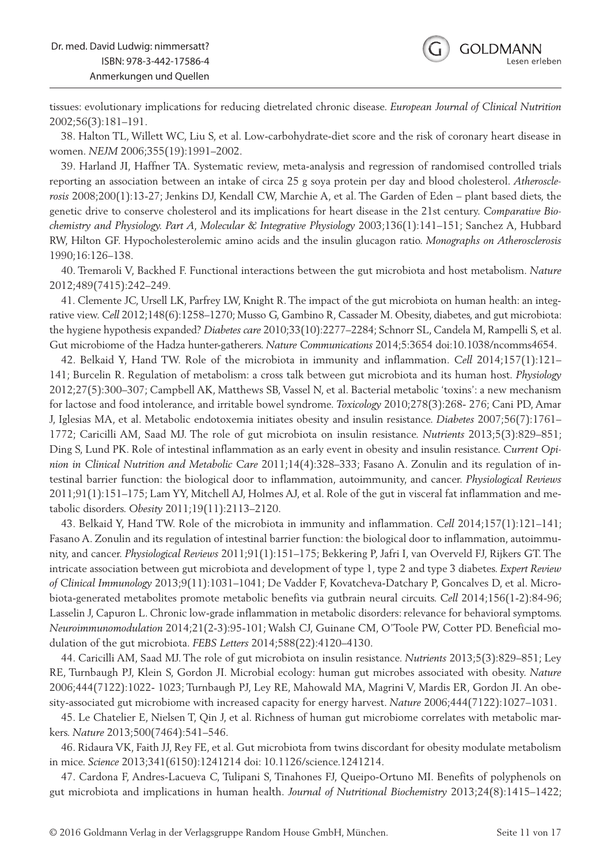tissues: evolutionary implications for reducing dietrelated chronic disease. *European Journal of Clinical Nutrition*  2002;56(3):181–191.

38. Halton TL, Willett WC, Liu S, et al. Low-carbohydrate-diet score and the risk of coronary heart disease in women. *NEJM* 2006;355(19):1991–2002.

39. Harland JI, Haffner TA. Systematic review, meta-analysis and regression of randomised controlled trials reporting an association between an intake of circa 25 g soya protein per day and blood cholesterol. *Atherosclerosis* 2008;200(1):13-27; Jenkins DJ, Kendall CW, Marchie A, et al. The Garden of Eden – plant based diets, the genetic drive to conserve cholesterol and its implications for heart disease in the 21st century. *Comparative Biochemistry and Physiology. Part A, Molecular & Integrative Physiology* 2003;136(1):141–151; Sanchez A, Hubbard RW, Hilton GF. Hypocholesterolemic amino acids and the insulin glucagon ratio. *Monographs on Atherosclerosis*  1990;16:126–138.

40. Tremaroli V, Backhed F. Functional interactions between the gut microbiota and host metabolism. *Nature*  2012;489(7415):242–249.

41. Clemente JC, Ursell LK, Parfrey LW, Knight R. The impact of the gut microbiota on human health: an integrative view. *Cell* 2012;148(6):1258–1270; Musso G, Gambino R, Cassader M. Obesity, diabetes, and gut microbiota: the hygiene hypothesis expanded? *Diabetes care* 2010;33(10):2277–2284; Schnorr SL, Candela M, Rampelli S, et al. Gut microbiome of the Hadza hunter-gatherers. *Nature Communications* 2014;5:3654 doi:10.1038/ncomms4654.

42. Belkaid Y, Hand TW. Role of the microbiota in immunity and inflammation. *Cell* 2014;157(1):121– 141; Burcelin R. Regulation of metabolism: a cross talk between gut microbiota and its human host. *Physiology*  2012;27(5):300–307; Campbell AK, Matthews SB, Vassel N, et al. Bacterial metabolic 'toxins': a new mechanism for lactose and food intolerance, and irritable bowel syndrome. *Toxicology* 2010;278(3):268- 276; Cani PD, Amar J, Iglesias MA, et al. Metabolic endotoxemia initiates obesity and insulin resistance. *Diabetes* 2007;56(7):1761– 1772; Caricilli AM, Saad MJ. The role of gut microbiota on insulin resistance. *Nutrients* 2013;5(3):829–851; Ding S, Lund PK. Role of intestinal inflammation as an early event in obesity and insulin resistance. *Current Opinion in Clinical Nutrition and Metabolic Care* 2011;14(4):328–333; Fasano A. Zonulin and its regulation of intestinal barrier function: the biological door to inflammation, autoimmunity, and cancer. *Physiological Reviews*  2011;91(1):151–175; Lam YY, Mitchell AJ, Holmes AJ, et al. Role of the gut in visceral fat inflammation and metabolic disorders. *Obesity* 2011;19(11):2113–2120.

43. Belkaid Y, Hand TW. Role of the microbiota in immunity and inflammation. *Cell* 2014;157(1):121–141; Fasano A. Zonulin and its regulation of intestinal barrier function: the biological door to inflammation, autoimmunity, and cancer. *Physiological Reviews* 2011;91(1):151–175; Bekkering P, Jafri I, van Overveld FJ, Rijkers GT. The intricate association between gut microbiota and development of type 1, type 2 and type 3 diabetes. *Expert Review of Clinical Immunology* 2013;9(11):1031–1041; De Vadder F, Kovatcheva-Datchary P, Goncalves D, et al. Microbiota-generated metabolites promote metabolic benefits via gutbrain neural circuits. *Cell* 2014;156(1-2):84-96; Lasselin J, Capuron L. Chronic low-grade inflammation in metabolic disorders: relevance for behavioral symptoms. *Neuroimmunomodulation* 2014;21(2-3):95-101; Walsh CJ, Guinane CM, O'Toole PW, Cotter PD. Beneficial modulation of the gut microbiota. *FEBS Letters* 2014;588(22):4120–4130.

44. Caricilli AM, Saad MJ. The role of gut microbiota on insulin resistance. *Nutrients* 2013;5(3):829–851; Ley RE, Turnbaugh PJ, Klein S, Gordon JI. Microbial ecology: human gut microbes associated with obesity. *Nature*  2006;444(7122):1022- 1023; Turnbaugh PJ, Ley RE, Mahowald MA, Magrini V, Mardis ER, Gordon JI. An obesity-associated gut microbiome with increased capacity for energy harvest. *Nature* 2006;444(7122):1027–1031.

45. Le Chatelier E, Nielsen T, Qin J, et al. Richness of human gut microbiome correlates with metabolic markers. *Nature* 2013;500(7464):541–546.

46. Ridaura VK, Faith JJ, Rey FE, et al. Gut microbiota from twins discordant for obesity modulate metabolism in mice. *Science* 2013;341(6150):1241214 doi: 10.1126/science.1241214.

47. Cardona F, Andres-Lacueva C, Tulipani S, Tinahones FJ, Queipo-Ortuno MI. Benefits of polyphenols on gut microbiota and implications in human health. *Journal of Nutritional Biochemistry* 2013;24(8):1415–1422;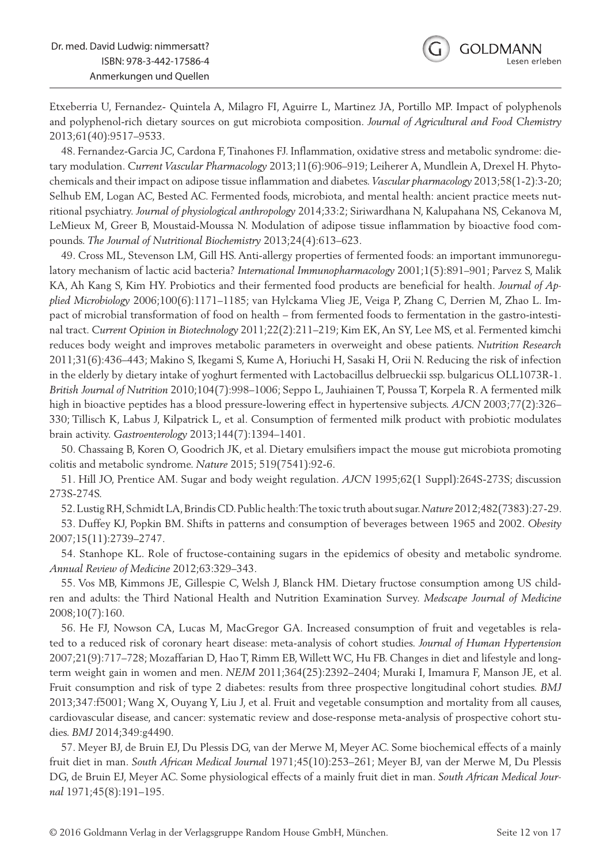Etxeberria U, Fernandez- Quintela A, Milagro FI, Aguirre L, Martinez JA, Portillo MP. Impact of polyphenols and polyphenol-rich dietary sources on gut microbiota composition. *Journal of Agricultural and Food Chemistry*  2013;61(40):9517–9533.

48. Fernandez-Garcia JC, Cardona F, Tinahones FJ. Inflammation, oxidative stress and metabolic syndrome: dietary modulation. *Current Vascular Pharmacology* 2013;11(6):906–919; Leiherer A, Mundlein A, Drexel H. Phytochemicals and their impact on adipose tissue inflammation and diabetes. *Vascular pharmacology* 2013;58(1-2):3-20; Selhub EM, Logan AC, Bested AC. Fermented foods, microbiota, and mental health: ancient practice meets nutritional psychiatry. *Journal of physiological anthropology* 2014;33:2; Siriwardhana N, Kalupahana NS, Cekanova M, LeMieux M, Greer B, Moustaid-Moussa N. Modulation of adipose tissue inflammation by bioactive food compounds. *The Journal of Nutritional Biochemistry* 2013;24(4):613–623.

49. Cross ML, Stevenson LM, Gill HS. Anti-allergy properties of fermented foods: an important immunoregulatory mechanism of lactic acid bacteria? *International Immunopharmacology* 2001;1(5):891–901; Parvez S, Malik KA, Ah Kang S, Kim HY. Probiotics and their fermented food products are beneficial for health. *Journal of Applied Microbiology* 2006;100(6):1171–1185; van Hylckama Vlieg JE, Veiga P, Zhang C, Derrien M, Zhao L. Impact of microbial transformation of food on health – from fermented foods to fermentation in the gastro-intestinal tract. *Current Opinion in Biotechnology* 2011;22(2):211–219; Kim EK, An SY, Lee MS, et al. Fermented kimchi reduces body weight and improves metabolic parameters in overweight and obese patients. *Nutrition Research*  2011;31(6):436–443; Makino S, Ikegami S, Kume A, Horiuchi H, Sasaki H, Orii N. Reducing the risk of infection in the elderly by dietary intake of yoghurt fermented with Lactobacillus delbrueckii ssp. bulgaricus OLL1073R-1. *British Journal of Nutrition* 2010;104(7):998–1006; Seppo L, Jauhiainen T, Poussa T, Korpela R. A fermented milk high in bioactive peptides has a blood pressure-lowering effect in hypertensive subjects. *AJCN* 2003;77(2):326– 330; Tillisch K, Labus J, Kilpatrick L, et al. Consumption of fermented milk product with probiotic modulates brain activity. *Gastroenterology* 2013;144(7):1394–1401.

50. Chassaing B, Koren O, Goodrich JK, et al. Dietary emulsifiers impact the mouse gut microbiota promoting colitis and metabolic syndrome. *Nature* 2015; 519(7541):92-6.

51. Hill JO, Prentice AM. Sugar and body weight regulation. *AJCN* 1995;62(1 Suppl):264S-273S; discussion 273S-274S.

52. Lustig RH, Schmidt LA, Brindis CD. Public health: The toxic truth about sugar. *Nature* 2012;482(7383):27-29.

53. Duffey KJ, Popkin BM. Shifts in patterns and consumption of beverages between 1965 and 2002. *Obesity*  2007;15(11):2739–2747.

54. Stanhope KL. Role of fructose-containing sugars in the epidemics of obesity and metabolic syndrome. *Annual Review of Medicine* 2012;63:329–343.

55. Vos MB, Kimmons JE, Gillespie C, Welsh J, Blanck HM. Dietary fructose consumption among US children and adults: the Third National Health and Nutrition Examination Survey. *Medscape Journal of Medicine*  2008;10(7):160.

56. He FJ, Nowson CA, Lucas M, MacGregor GA. Increased consumption of fruit and vegetables is related to a reduced risk of coronary heart disease: meta-analysis of cohort studies. *Journal of Human Hypertension*  2007;21(9):717–728; Mozaffarian D, Hao T, Rimm EB, Willett WC, Hu FB. Changes in diet and lifestyle and longterm weight gain in women and men. *NEJM* 2011;364(25):2392–2404; Muraki I, Imamura F, Manson JE, et al. Fruit consumption and risk of type 2 diabetes: results from three prospective longitudinal cohort studies. *BMJ*  2013;347:f5001; Wang X, Ouyang Y, Liu J, et al. Fruit and vegetable consumption and mortality from all causes, cardiovascular disease, and cancer: systematic review and dose-response meta-analysis of prospective cohort studies. *BMJ* 2014;349:g4490.

57. Meyer BJ, de Bruin EJ, Du Plessis DG, van der Merwe M, Meyer AC. Some biochemical effects of a mainly fruit diet in man. *South African Medical Journal* 1971;45(10):253–261; Meyer BJ, van der Merwe M, Du Plessis DG, de Bruin EJ, Meyer AC. Some physiological effects of a mainly fruit diet in man. *South African Medical Journal* 1971;45(8):191–195.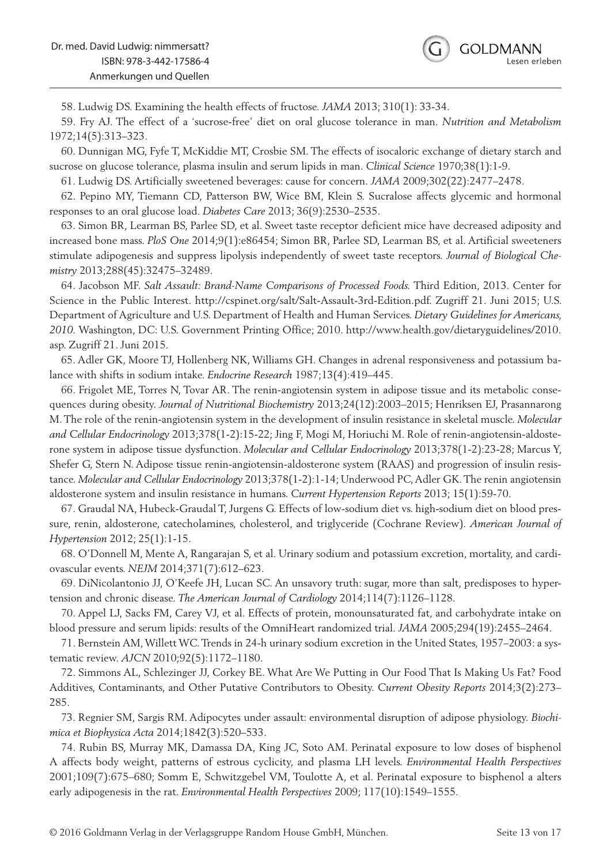58. Ludwig DS. Examining the health effects of fructose. *JAMA* 2013; 310(1): 33-34.

59. Fry AJ. The effect of a 'sucrose-free' diet on oral glucose tolerance in man. *Nutrition and Metabolism*  1972;14(5):313–323.

60. Dunnigan MG, Fyfe T, McKiddie MT, Crosbie SM. The effects of isocaloric exchange of dietary starch and sucrose on glucose tolerance, plasma insulin and serum lipids in man. *Clinical Science* 1970;38(1):1-9.

61. Ludwig DS. Artificially sweetened beverages: cause for concern. *JAMA* 2009;302(22):2477–2478.

62. Pepino MY, Tiemann CD, Patterson BW, Wice BM, Klein S. Sucralose affects glycemic and hormonal responses to an oral glucose load. *Diabetes Care* 2013; 36(9):2530–2535.

63. Simon BR, Learman BS, Parlee SD, et al. Sweet taste receptor deficient mice have decreased adiposity and increased bone mass. *PloS One* 2014;9(1):e86454; Simon BR, Parlee SD, Learman BS, et al. Artificial sweeteners stimulate adipogenesis and suppress lipolysis independently of sweet taste receptors. *Journal of Biological Chemistry* 2013;288(45):32475–32489.

64. Jacobson MF. *Salt Assault: Brand-Name Comparisons of Processed Foods.* Third Edition, 2013. Center for Science in the Public Interest. http://cspinet.org/salt/Salt-Assault-3rd-Edition.pdf. Zugriff 21. Juni 2015; U.S. Department of Agriculture and U.S. Department of Health and Human Services. *Dietary Guidelines for Americans, 2010.* Washington, DC: U.S. Government Printing Office; 2010. http://www.health.gov/dietaryguidelines/2010. asp. Zugriff 21. Juni 2015.

65. Adler GK, Moore TJ, Hollenberg NK, Williams GH. Changes in adrenal responsiveness and potassium balance with shifts in sodium intake. *Endocrine Research* 1987;13(4):419–445.

66. Frigolet ME, Torres N, Tovar AR. The renin-angiotensin system in adipose tissue and its metabolic consequences during obesity. *Journal of Nutritional Biochemistry* 2013;24(12):2003–2015; Henriksen EJ, Prasannarong M. The role of the renin-angiotensin system in the development of insulin resistance in skeletal muscle. *Molecular and Cellular Endocrinology* 2013;378(1-2):15-22; Jing F, Mogi M, Horiuchi M. Role of renin-angiotensin-aldosterone system in adipose tissue dysfunction. *Molecular and Cellular Endocrinology* 2013;378(1-2):23-28; Marcus Y, Shefer G, Stern N. Adipose tissue renin-angiotensin-aldosterone system (RAAS) and progression of insulin resistance. *Molecular and Cellular Endocrinology* 2013;378(1-2):1-14; Underwood PC, Adler GK. The renin angiotensin aldosterone system and insulin resistance in humans. *Current Hypertension Reports* 2013; 15(1):59-70.

67. Graudal NA, Hubeck-Graudal T, Jurgens G. Effects of low-sodium diet vs. high-sodium diet on blood pressure, renin, aldosterone, catecholamines, cholesterol, and triglyceride (Cochrane Review). *American Journal of Hypertension* 2012; 25(1):1-15.

68. O'Donnell M, Mente A, Rangarajan S, et al. Urinary sodium and potassium excretion, mortality, and cardiovascular events. *NEJM* 2014;371(7):612–623.

69. DiNicolantonio JJ, O'Keefe JH, Lucan SC. An unsavory truth: sugar, more than salt, predisposes to hypertension and chronic disease. *The American Journal of Cardiology* 2014;114(7):1126–1128.

70. Appel LJ, Sacks FM, Carey VJ, et al. Effects of protein, monounsaturated fat, and carbohydrate intake on blood pressure and serum lipids: results of the OmniHeart randomized trial. *JAMA* 2005;294(19):2455–2464.

71. Bernstein AM, Willett WC. Trends in 24-h urinary sodium excretion in the United States, 1957–2003: a systematic review. *AJCN* 2010;92(5):1172–1180.

72. Simmons AL, Schlezinger JJ, Corkey BE. What Are We Putting in Our Food That Is Making Us Fat? Food Additives, Contaminants, and Other Putative Contributors to Obesity. *Current Obesity Reports* 2014;3(2):273– 285.

73. Regnier SM, Sargis RM. Adipocytes under assault: environmental disruption of adipose physiology. *Biochimica et Biophysica Acta* 2014;1842(3):520–533.

74. Rubin BS, Murray MK, Damassa DA, King JC, Soto AM. Perinatal exposure to low doses of bisphenol A affects body weight, patterns of estrous cyclicity, and plasma LH levels. *Environmental Health Perspectives*  2001;109(7):675–680; Somm E, Schwitzgebel VM, Toulotte A, et al. Perinatal exposure to bisphenol a alters early adipogenesis in the rat. *Environmental Health Perspectives* 2009; 117(10):1549–1555.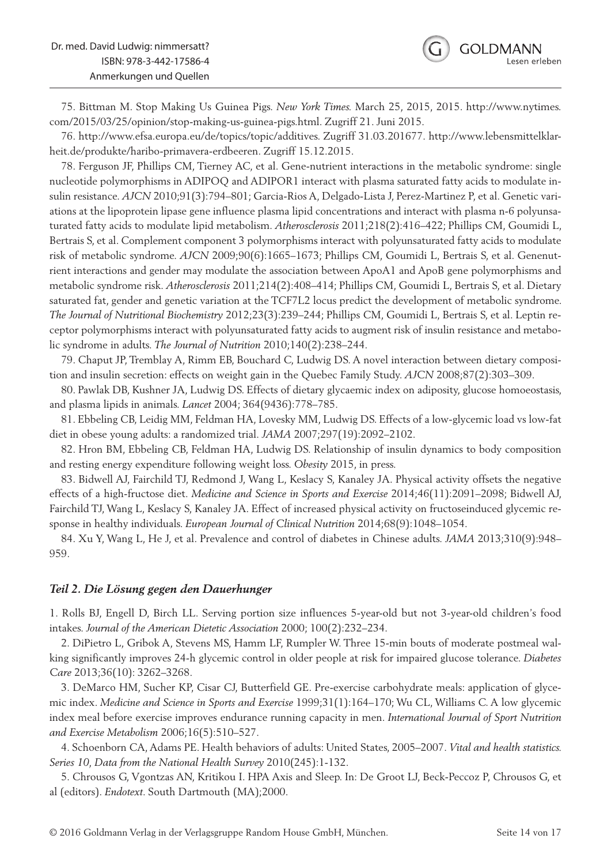

75. Bittman M. Stop Making Us Guinea Pigs. *New York Times.* March 25, 2015, 2015. http://www.nytimes. com/2015/03/25/opinion/stop-making-us-guinea-pigs.html. Zugriff 21. Juni 2015.

76. http://www.efsa.europa.eu/de/topics/topic/additives. Zugriff 31.03.201677. http://www.lebensmittelklarheit.de/produkte/haribo-primavera-erdbeeren. Zugriff 15.12.2015.

78. Ferguson JF, Phillips CM, Tierney AC, et al. Gene-nutrient interactions in the metabolic syndrome: single nucleotide polymorphisms in ADIPOQ and ADIPOR1 interact with plasma saturated fatty acids to modulate insulin resistance. *AJCN* 2010;91(3):794–801; Garcia-Rios A, Delgado-Lista J, Perez-Martinez P, et al. Genetic variations at the lipoprotein lipase gene influence plasma lipid concentrations and interact with plasma n-6 polyunsaturated fatty acids to modulate lipid metabolism. *Atherosclerosis* 2011;218(2):416–422; Phillips CM, Goumidi L, Bertrais S, et al. Complement component 3 polymorphisms interact with polyunsaturated fatty acids to modulate risk of metabolic syndrome. *AJCN* 2009;90(6):1665–1673; Phillips CM, Goumidi L, Bertrais S, et al. Genenutrient interactions and gender may modulate the association between ApoA1 and ApoB gene polymorphisms and metabolic syndrome risk. *Atherosclerosis* 2011;214(2):408–414; Phillips CM, Goumidi L, Bertrais S, et al. Dietary saturated fat, gender and genetic variation at the TCF7L2 locus predict the development of metabolic syndrome. *The Journal of Nutritional Biochemistry* 2012;23(3):239–244; Phillips CM, Goumidi L, Bertrais S, et al. Leptin receptor polymorphisms interact with polyunsaturated fatty acids to augment risk of insulin resistance and metabolic syndrome in adults. *The Journal of Nutrition* 2010;140(2):238–244.

79. Chaput JP, Tremblay A, Rimm EB, Bouchard C, Ludwig DS. A novel interaction between dietary composition and insulin secretion: effects on weight gain in the Quebec Family Study. *AJCN* 2008;87(2):303–309.

80. Pawlak DB, Kushner JA, Ludwig DS. Effects of dietary glycaemic index on adiposity, glucose homoeostasis, and plasma lipids in animals. *Lancet* 2004; 364(9436):778–785.

81. Ebbeling CB, Leidig MM, Feldman HA, Lovesky MM, Ludwig DS. Effects of a low-glycemic load vs low-fat diet in obese young adults: a randomized trial. *JAMA* 2007;297(19):2092–2102.

82. Hron BM, Ebbeling CB, Feldman HA, Ludwig DS. Relationship of insulin dynamics to body composition and resting energy expenditure following weight loss. *Obesity* 2015, in press.

83. Bidwell AJ, Fairchild TJ, Redmond J, Wang L, Keslacy S, Kanaley JA. Physical activity offsets the negative effects of a high-fructose diet. *Medicine and Science in Sports and Exercise* 2014;46(11):2091–2098; Bidwell AJ, Fairchild TJ, Wang L, Keslacy S, Kanaley JA. Effect of increased physical activity on fructoseinduced glycemic response in healthy individuals. *European Journal of Clinical Nutrition* 2014;68(9):1048–1054.

84. Xu Y, Wang L, He J, et al. Prevalence and control of diabetes in Chinese adults. *JAMA* 2013;310(9):948– 959.

#### *Teil 2. Die Lösung gegen den Dauerhunger*

1. Rolls BJ, Engell D, Birch LL. Serving portion size influences 5-year-old but not 3-year-old children's food intakes. *Journal of the American Dietetic Association* 2000; 100(2):232–234.

2. DiPietro L, Gribok A, Stevens MS, Hamm LF, Rumpler W. Three 15-min bouts of moderate postmeal walking significantly improves 24-h glycemic control in older people at risk for impaired glucose tolerance. *Diabetes Care* 2013;36(10): 3262–3268.

3. DeMarco HM, Sucher KP, Cisar CJ, Butterfield GE. Pre-exercise carbohydrate meals: application of glycemic index. *Medicine and Science in Sports and Exercise* 1999;31(1):164–170; Wu CL, Williams C. A low glycemic index meal before exercise improves endurance running capacity in men. *International Journal of Sport Nutrition and Exercise Metabolism* 2006;16(5):510–527.

4. Schoenborn CA, Adams PE. Health behaviors of adults: United States, 2005–2007. *Vital and health statistics. Series 10, Data from the National Health Survey* 2010(245):1-132.

5. Chrousos G, Vgontzas AN, Kritikou I. HPA Axis and Sleep. In: De Groot LJ, Beck-Peccoz P, Chrousos G, et al (editors). *Endotext*. South Dartmouth (MA);2000.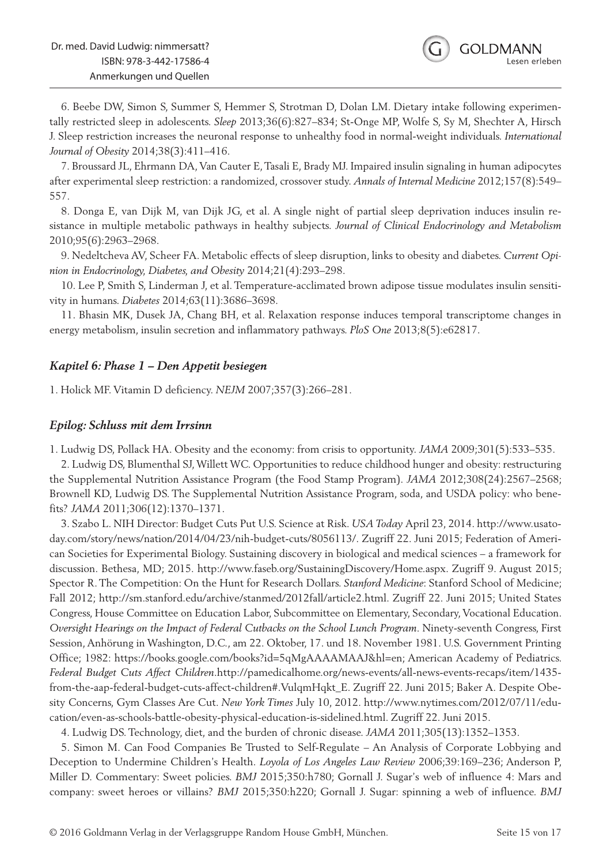

6. Beebe DW, Simon S, Summer S, Hemmer S, Strotman D, Dolan LM. Dietary intake following experimentally restricted sleep in adolescents. *Sleep* 2013;36(6):827–834; St-Onge MP, Wolfe S, Sy M, Shechter A, Hirsch J. Sleep restriction increases the neuronal response to unhealthy food in normal-weight individuals. *International Journal of Obesity* 2014;38(3):411–416.

7. Broussard JL, Ehrmann DA, Van Cauter E, Tasali E, Brady MJ. Impaired insulin signaling in human adipocytes after experimental sleep restriction: a randomized, crossover study. *Annals of Internal Medicine* 2012;157(8):549– 557.

8. Donga E, van Dijk M, van Dijk JG, et al. A single night of partial sleep deprivation induces insulin resistance in multiple metabolic pathways in healthy subjects. *Journal of Clinical Endocrinology and Metabolism*  2010;95(6):2963–2968.

9. Nedeltcheva AV, Scheer FA. Metabolic effects of sleep disruption, links to obesity and diabetes. *Current Opinion in Endocrinology, Diabetes, and Obesity* 2014;21(4):293–298.

10. Lee P, Smith S, Linderman J, et al. Temperature-acclimated brown adipose tissue modulates insulin sensitivity in humans. *Diabetes* 2014;63(11):3686–3698.

11. Bhasin MK, Dusek JA, Chang BH, et al. Relaxation response induces temporal transcriptome changes in energy metabolism, insulin secretion and inflammatory pathways. *PloS One* 2013;8(5):e62817.

#### *Kapitel 6: Phase 1 – Den Appetit besiegen*

1. Holick MF. Vitamin D deficiency. *NEJM* 2007;357(3):266–281.

#### *Epilog: Schluss mit dem Irrsinn*

1. Ludwig DS, Pollack HA. Obesity and the economy: from crisis to opportunity. *JAMA* 2009;301(5):533–535.

2. Ludwig DS, Blumenthal SJ, Willett WC. Opportunities to reduce childhood hunger and obesity: restructuring the Supplemental Nutrition Assistance Program (the Food Stamp Program). *JAMA* 2012;308(24):2567–2568; Brownell KD, Ludwig DS. The Supplemental Nutrition Assistance Program, soda, and USDA policy: who benefits? *JAMA* 2011;306(12):1370–1371.

3. Szabo L. NIH Director: Budget Cuts Put U.S. Science at Risk. *USA Today* April 23, 2014. http://www.usatoday.com/story/news/nation/2014/04/23/nih-budget-cuts/8056113/. Zugriff 22. Juni 2015; Federation of American Societies for Experimental Biology. Sustaining discovery in biological and medical sciences – a framework for discussion. Bethesa, MD; 2015. http://www.faseb.org/SustainingDiscovery/Home.aspx. Zugriff 9. August 2015; Spector R. The Competition: On the Hunt for Research Dollars. *Stanford Medicine*: Stanford School of Medicine; Fall 2012; http://sm.stanford.edu/archive/stanmed/2012fall/article2.html. Zugriff 22. Juni 2015; United States Congress, House Committee on Education Labor, Subcommittee on Elementary, Secondary, Vocational Education. *Oversight Hearings on the Impact of Federal Cutbacks on the School Lunch Program.* Ninety-seventh Congress, First Session, Anhörung in Washington, D.C., am 22. Oktober, 17. und 18. November 1981. U.S. Government Printing Office; 1982: https://books.google.com/books?id=5qMgAAAAMAAJ&hl=en; American Academy of Pediatrics. *Federal Budget Cuts Affect Children*.http://pamedicalhome.org/news-events/all-news-events-recaps/item/1435 from-the-aap-federal-budget-cuts-affect-children#.VulqmHqkt\_E. Zugriff 22. Juni 2015; Baker A. Despite Obesity Concerns, Gym Classes Are Cut. *New York Times* July 10, 2012. http://www.nytimes.com/2012/07/11/education/even-as-schools-battle-obesity-physical-education-is-sidelined.html. Zugriff 22. Juni 2015.

4. Ludwig DS. Technology, diet, and the burden of chronic disease. *JAMA* 2011;305(13):1352–1353.

5. Simon M. Can Food Companies Be Trusted to Self-Regulate – An Analysis of Corporate Lobbying and Deception to Undermine Children's Health. *Loyola of Los Angeles Law Review* 2006;39:169–236; Anderson P, Miller D. Commentary: Sweet policies. *BMJ* 2015;350:h780; Gornall J. Sugar's web of influence 4: Mars and company: sweet heroes or villains? *BMJ* 2015;350:h220; Gornall J. Sugar: spinning a web of influence. *BMJ*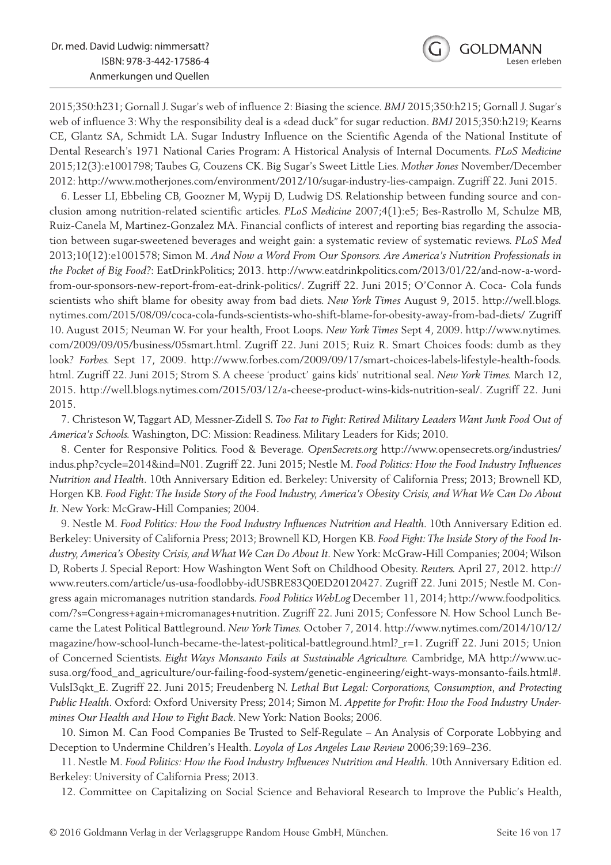

2015;350:h231; Gornall J. Sugar's web of influence 2: Biasing the science. *BMJ* 2015;350:h215; Gornall J. Sugar's web of influence 3: Why the responsibility deal is a «dead duck" for sugar reduction. *BMJ* 2015;350:h219; Kearns CE, Glantz SA, Schmidt LA. Sugar Industry Influence on the Scientific Agenda of the National Institute of Dental Research's 1971 National Caries Program: A Historical Analysis of Internal Documents. *PLoS Medicine*  2015;12(3):e1001798; Taubes G, Couzens CK. Big Sugar's Sweet Little Lies. *Mother Jones* November/December 2012: http://www.motherjones.com/environment/2012/10/sugar-industry-lies-campaign. Zugriff 22. Juni 2015.

6. Lesser LI, Ebbeling CB, Goozner M, Wypij D, Ludwig DS. Relationship between funding source and conclusion among nutrition-related scientific articles. *PLoS Medicine* 2007;4(1):e5; Bes-Rastrollo M, Schulze MB, Ruiz-Canela M, Martinez-Gonzalez MA. Financial conflicts of interest and reporting bias regarding the association between sugar-sweetened beverages and weight gain: a systematic review of systematic reviews. *PLoS Med*  2013;10(12):e1001578; Simon M. *And Now a Word From Our Sponsors. Are America's Nutrition Professionals in the Pocket of Big Food?*: EatDrinkPolitics; 2013. http://www.eatdrinkpolitics.com/2013/01/22/and-now-a-wordfrom-our-sponsors-new-report-from-eat-drink-politics/. Zugriff 22. Juni 2015; O'Connor A. Coca- Cola funds scientists who shift blame for obesity away from bad diets. *New York Times* August 9, 2015. http://well.blogs. nytimes.com/2015/08/09/coca-cola-funds-scientists-who-shift-blame-for-obesity-away-from-bad-diets/ Zugriff 10. August 2015; Neuman W. For your health, Froot Loops. *New York Times* Sept 4, 2009. http://www.nytimes. com/2009/09/05/business/05smart.html. Zugriff 22. Juni 2015; Ruiz R. Smart Choices foods: dumb as they look? *Forbes.* Sept 17, 2009. http://www.forbes.com/2009/09/17/smart-choices-labels-lifestyle-health-foods. html. Zugriff 22. Juni 2015; Strom S. A cheese 'product' gains kids' nutritional seal. *New York Times.* March 12, 2015. http://well.blogs.nytimes.com/2015/03/12/a-cheese-product-wins-kids-nutrition-seal/. Zugriff 22. Juni 2015.

7. Christeson W, Taggart AD, Messner-Zidell S. *Too Fat to Fight: Retired Military Leaders Want Junk Food Out of America's Schools.* Washington, DC: Mission: Readiness. Military Leaders for Kids; 2010.

8. Center for Responsive Politics. Food & Beverage. *OpenSecrets.org* http://www.opensecrets.org/industries/ indus.php?cycle=2014&ind=N01. Zugriff 22. Juni 2015; Nestle M. *Food Politics: How the Food Industry Influences Nutrition and Health.* 10th Anniversary Edition ed. Berkeley: University of California Press; 2013; Brownell KD, Horgen KB. *Food Fight: The Inside Story of the Food Industry, America's Obesity Crisis, and What We Can Do About It.* New York: McGraw-Hill Companies; 2004.

9. Nestle M. *Food Politics: How the Food Industry Influences Nutrition and Health.* 10th Anniversary Edition ed. Berkeley: University of California Press; 2013; Brownell KD, Horgen KB. *Food Fight: The Inside Story of the Food Industry, America's Obesity Crisis, and What We Can Do About It.* New York: McGraw-Hill Companies; 2004; Wilson D, Roberts J. Special Report: How Washington Went Soft on Childhood Obesity. *Reuters.* April 27, 2012. http:// www.reuters.com/article/us-usa-foodlobby-idUSBRE83Q0ED20120427. Zugriff 22. Juni 2015; Nestle M. Congress again micromanages nutrition standards. *Food Politics WebLog* December 11, 2014; http://www.foodpolitics. com/?s=Congress+again+micromanages+nutrition. Zugriff 22. Juni 2015; Confessore N. How School Lunch Became the Latest Political Battleground. *New York Times.* October 7, 2014. http://www.nytimes.com/2014/10/12/ magazine/how-school-lunch-became-the-latest-political-battleground.html?\_r=1. Zugriff 22. Juni 2015; Union of Concerned Scientists. *Eight Ways Monsanto Fails at Sustainable Agriculture.* Cambridge, MA http://www.ucsusa.org/food\_and\_agriculture/our-failing-food-system/genetic-engineering/eight-ways-monsanto-fails.html#. VulsI3qkt\_E. Zugriff 22. Juni 2015; Freudenberg N. *Lethal But Legal: Corporations, Consumption, and Protecting Public Health.* Oxford: Oxford University Press; 2014; Simon M. *Appetite for Profit: How the Food Industry Undermines Our Health and How to Fight Back.* New York: Nation Books; 2006.

10. Simon M. Can Food Companies Be Trusted to Self-Regulate – An Analysis of Corporate Lobbying and Deception to Undermine Children's Health. *Loyola of Los Angeles Law Review* 2006;39:169–236.

11. Nestle M. *Food Politics: How the Food Industry Influences Nutrition and Health.* 10th Anniversary Edition ed. Berkeley: University of California Press; 2013.

12. Committee on Capitalizing on Social Science and Behavioral Research to Improve the Public's Health,